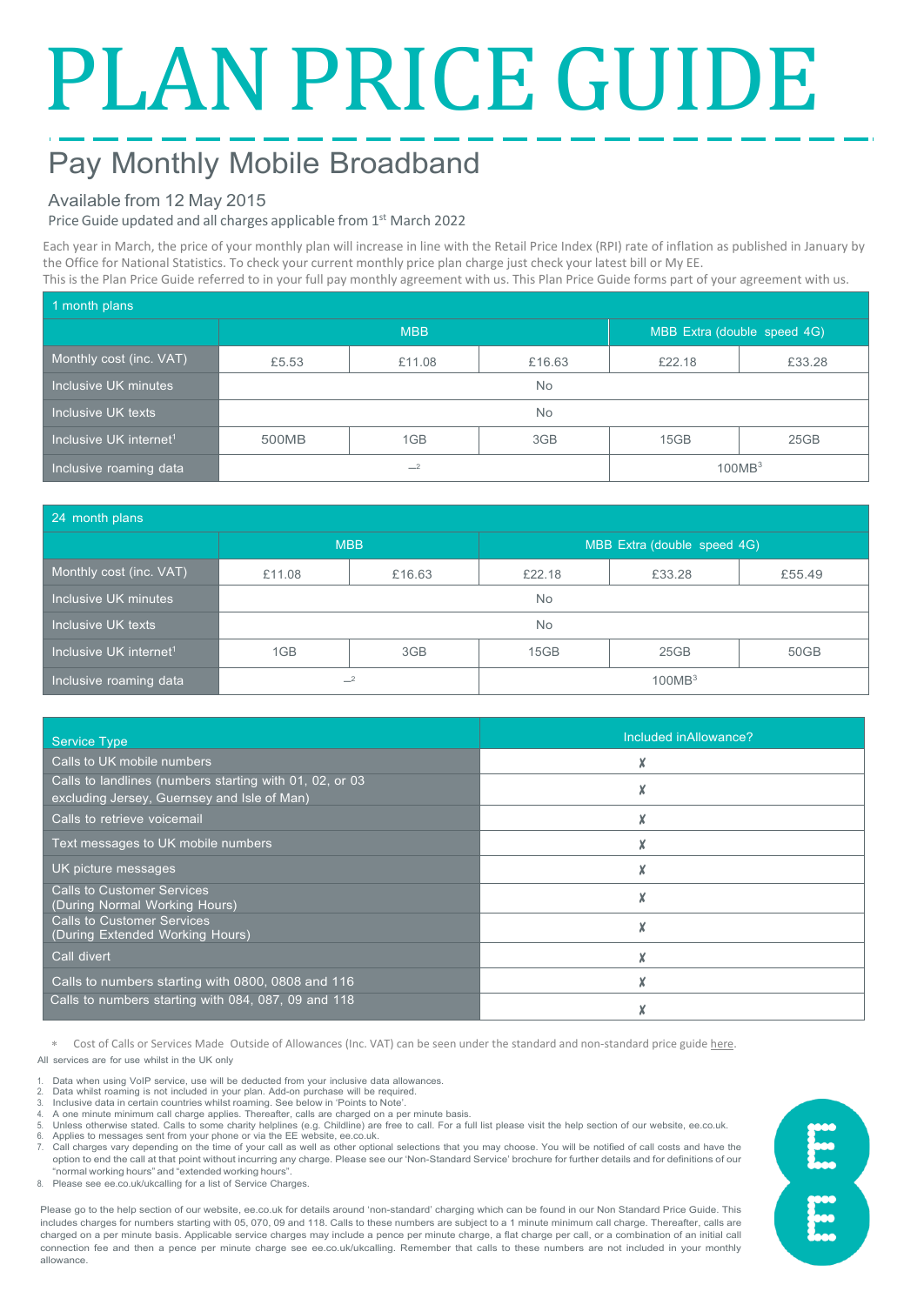# PLAN PRICE GUIDE

# Pay Monthly Mobile Broadband

### Available from 12 May 2015

Price Guide updated and all charges applicable from 1st March 2022

Each year in March, the price of your monthly plan will increase in line with the Retail Price Index (RPI) rate of inflation as published in January by the Office for National Statistics. To check your current monthly price plan charge just check your latest bill or My EE. This is the Plan Price Guide referred to in your full pay monthly agreement with us. This Plan Price Guide forms part of your agreement with us.

| 1 month plans                      |            |        |        |                             |        |  |  |
|------------------------------------|------------|--------|--------|-----------------------------|--------|--|--|
|                                    | <b>MBB</b> |        |        | MBB Extra (double speed 4G) |        |  |  |
| Monthly cost (inc. VAT)            | £5.53      | £11.08 | £16.63 | £22.18                      | £33.28 |  |  |
| Inclusive UK minutes               | <b>No</b>  |        |        |                             |        |  |  |
| Inclusive UK texts                 | No         |        |        |                             |        |  |  |
| Inclusive UK internet <sup>1</sup> | 500MB      | 1GB    | 3GB    | 15GB                        | 25GB   |  |  |
| Inclusive roaming data             | $-2$       |        |        | 100MB <sup>3</sup>          |        |  |  |

| 24 month plans                     |            |        |                             |        |        |  |  |
|------------------------------------|------------|--------|-----------------------------|--------|--------|--|--|
|                                    | <b>MBB</b> |        | MBB Extra (double speed 4G) |        |        |  |  |
| Monthly cost (inc. VAT)            | £11.08     | £16.63 | £22.18                      | £33.28 | £55.49 |  |  |
| Inclusive UK minutes               | <b>No</b>  |        |                             |        |        |  |  |
| Inclusive UK texts                 | <b>No</b>  |        |                             |        |        |  |  |
| Inclusive UK internet <sup>1</sup> | 1GB        | 3GB    | 15GB                        | 25GB   | 50GB   |  |  |
| Inclusive roaming data             | $-2$       |        | 100MB <sup>3</sup>          |        |        |  |  |

| <b>Service Type</b>                                                                                    | Included in Allowance? |
|--------------------------------------------------------------------------------------------------------|------------------------|
| Calls to UK mobile numbers                                                                             |                        |
| Calls to landlines (numbers starting with 01, 02, or 03<br>excluding Jersey, Guernsey and Isle of Man) |                        |
| Calls to retrieve voicemail                                                                            |                        |
| Text messages to UK mobile numbers                                                                     |                        |
| UK picture messages                                                                                    |                        |
| <b>Calls to Customer Services</b><br>(During Normal Working Hours)                                     |                        |
| <b>Calls to Customer Services</b><br>(During Extended Working Hours)                                   |                        |
| Call divert                                                                                            |                        |
| Calls to numbers starting with 0800, 0808 and 116                                                      |                        |
| Calls to numbers starting with 084, 087, 09 and 118                                                    |                        |

Cost of Calls or Services Made Outside of Allowances (Inc. VAT) can be seen under the standard and non-standard price guid[e here.](https://ee.co.uk/help/help-new/price-plans/mobile/pay-monthly-price-plans) All services are for use whilst in the UK only

- Data when using VoIP service, use will be deducted from your inclusive data allowances. 2. Data whilst roaming is not included in your plan. Add-on purchase will be required.
- 3. Inclusive data in certain countries whilst roaming. See below in 'Points to Note'.
- 4. A one minute minimum call charge applies. Thereafter, calls are charged on a per minute basis.<br>4. A one minute minimum call charge applies. Thereafter, calls are charged on a per minute basis.
- Unless otherwise stated. Calls to some charity helplines (e.g. Childline) are free to call. For a full list please visit the help section of our website, ee.co.uk.

6. Applies to messages sent from your phone or via the EE website, ee.co.uk.<br>7. Call charges vary depending on the time of your call as well as other optional selections that you may choose. You will be notified of ca option to end the call at that point without incurring any charge. Please see our 'Non-Standard Service' brochure for further details and for definitions of our "normal working hours" and "extended working hours".

8. Please see ee.co.uk/ukcalling for a list of Service Charges.

Please go to the help section of our website, ee.co.uk for details around 'non-standard' charging which can be found in our Non Standard Price Guide. This includes charges for numbers starting with 05, 070, 09 and 118. Calls to these numbers are subject to a 1 minute minimum call charge. Thereafter, calls are charged on a per minute basis. Applicable service charges may include a pence per minute charge, a flat charge per call, or a combination of an initial call connection fee and then a pence per minute charge see ee.co.uk/ukcalling. Remember that calls to these numbers are not included in your monthly allowance.